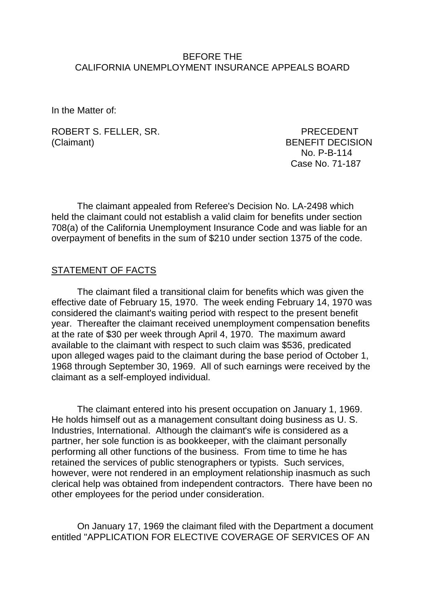### BEFORE THE CALIFORNIA UNEMPLOYMENT INSURANCE APPEALS BOARD

In the Matter of:

ROBERT S. FELLER, SR. PRECEDENT (Claimant) BENEFIT DECISION

 No. P-B-114 Case No. 71-187

The claimant appealed from Referee's Decision No. LA-2498 which held the claimant could not establish a valid claim for benefits under section 708(a) of the California Unemployment Insurance Code and was liable for an overpayment of benefits in the sum of \$210 under section 1375 of the code.

#### STATEMENT OF FACTS

The claimant filed a transitional claim for benefits which was given the effective date of February 15, 1970. The week ending February 14, 1970 was considered the claimant's waiting period with respect to the present benefit year. Thereafter the claimant received unemployment compensation benefits at the rate of \$30 per week through April 4, 1970. The maximum award available to the claimant with respect to such claim was \$536, predicated upon alleged wages paid to the claimant during the base period of October 1, 1968 through September 30, 1969. All of such earnings were received by the claimant as a self-employed individual.

The claimant entered into his present occupation on January 1, 1969. He holds himself out as a management consultant doing business as U. S. Industries, International. Although the claimant's wife is considered as a partner, her sole function is as bookkeeper, with the claimant personally performing all other functions of the business. From time to time he has retained the services of public stenographers or typists. Such services, however, were not rendered in an employment relationship inasmuch as such clerical help was obtained from independent contractors. There have been no other employees for the period under consideration.

On January 17, 1969 the claimant filed with the Department a document entitled "APPLICATION FOR ELECTIVE COVERAGE OF SERVICES OF AN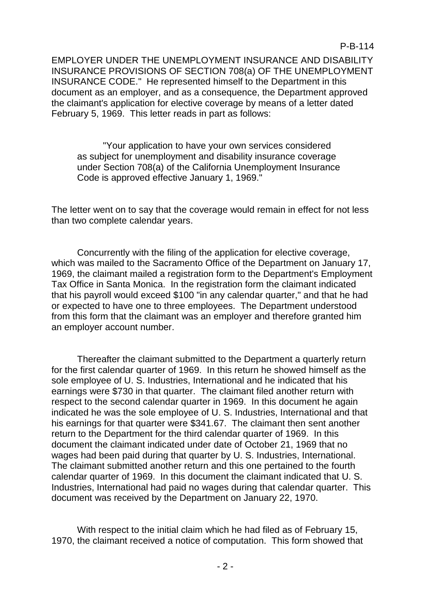EMPLOYER UNDER THE UNEMPLOYMENT INSURANCE AND DISABILITY INSURANCE PROVISIONS OF SECTION 708(a) OF THE UNEMPLOYMENT INSURANCE CODE." He represented himself to the Department in this document as an employer, and as a consequence, the Department approved the claimant's application for elective coverage by means of a letter dated February 5, 1969. This letter reads in part as follows:

"Your application to have your own services considered as subject for unemployment and disability insurance coverage under Section 708(a) of the California Unemployment Insurance Code is approved effective January 1, 1969."

The letter went on to say that the coverage would remain in effect for not less than two complete calendar years.

Concurrently with the filing of the application for elective coverage, which was mailed to the Sacramento Office of the Department on January 17, 1969, the claimant mailed a registration form to the Department's Employment Tax Office in Santa Monica. In the registration form the claimant indicated that his payroll would exceed \$100 "in any calendar quarter," and that he had or expected to have one to three employees. The Department understood from this form that the claimant was an employer and therefore granted him an employer account number.

Thereafter the claimant submitted to the Department a quarterly return for the first calendar quarter of 1969. In this return he showed himself as the sole employee of U. S. Industries, International and he indicated that his earnings were \$730 in that quarter. The claimant filed another return with respect to the second calendar quarter in 1969. In this document he again indicated he was the sole employee of U. S. Industries, International and that his earnings for that quarter were \$341.67. The claimant then sent another return to the Department for the third calendar quarter of 1969. In this document the claimant indicated under date of October 21, 1969 that no wages had been paid during that quarter by U. S. Industries, International. The claimant submitted another return and this one pertained to the fourth calendar quarter of 1969. In this document the claimant indicated that U. S. Industries, International had paid no wages during that calendar quarter. This document was received by the Department on January 22, 1970.

With respect to the initial claim which he had filed as of February 15, 1970, the claimant received a notice of computation. This form showed that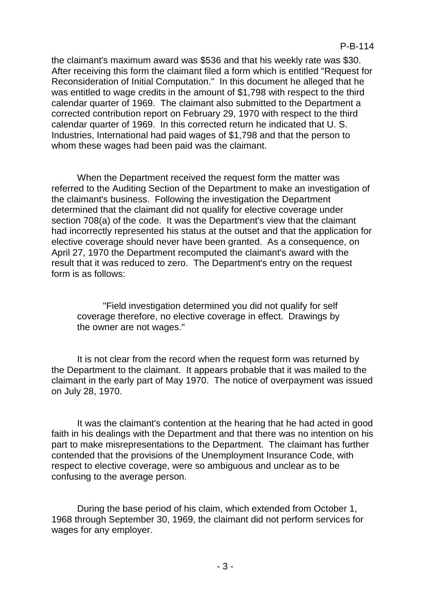the claimant's maximum award was \$536 and that his weekly rate was \$30. After receiving this form the claimant filed a form which is entitled "Request for Reconsideration of Initial Computation." In this document he alleged that he was entitled to wage credits in the amount of \$1,798 with respect to the third calendar quarter of 1969. The claimant also submitted to the Department a corrected contribution report on February 29, 1970 with respect to the third calendar quarter of 1969. In this corrected return he indicated that U. S. Industries, International had paid wages of \$1,798 and that the person to whom these wages had been paid was the claimant.

When the Department received the request form the matter was referred to the Auditing Section of the Department to make an investigation of the claimant's business. Following the investigation the Department determined that the claimant did not qualify for elective coverage under section 708(a) of the code. It was the Department's view that the claimant had incorrectly represented his status at the outset and that the application for elective coverage should never have been granted. As a consequence, on April 27, 1970 the Department recomputed the claimant's award with the result that it was reduced to zero. The Department's entry on the request form is as follows:

"Field investigation determined you did not qualify for self coverage therefore, no elective coverage in effect. Drawings by the owner are not wages."

It is not clear from the record when the request form was returned by the Department to the claimant. It appears probable that it was mailed to the claimant in the early part of May 1970. The notice of overpayment was issued on July 28, 1970.

It was the claimant's contention at the hearing that he had acted in good faith in his dealings with the Department and that there was no intention on his part to make misrepresentations to the Department. The claimant has further contended that the provisions of the Unemployment Insurance Code, with respect to elective coverage, were so ambiguous and unclear as to be confusing to the average person.

During the base period of his claim, which extended from October 1, 1968 through September 30, 1969, the claimant did not perform services for wages for any employer.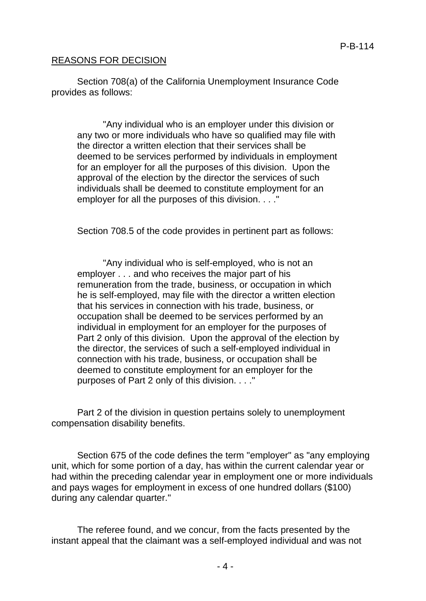### REASONS FOR DECISION

Section 708(a) of the California Unemployment Insurance Code provides as follows:

"Any individual who is an employer under this division or any two or more individuals who have so qualified may file with the director a written election that their services shall be deemed to be services performed by individuals in employment for an employer for all the purposes of this division. Upon the approval of the election by the director the services of such individuals shall be deemed to constitute employment for an employer for all the purposes of this division. . . ."

Section 708.5 of the code provides in pertinent part as follows:

"Any individual who is self-employed, who is not an employer . . . and who receives the major part of his remuneration from the trade, business, or occupation in which he is self-employed, may file with the director a written election that his services in connection with his trade, business, or occupation shall be deemed to be services performed by an individual in employment for an employer for the purposes of Part 2 only of this division. Upon the approval of the election by the director, the services of such a self-employed individual in connection with his trade, business, or occupation shall be deemed to constitute employment for an employer for the purposes of Part 2 only of this division. . . ."

Part 2 of the division in question pertains solely to unemployment compensation disability benefits.

Section 675 of the code defines the term "employer" as "any employing unit, which for some portion of a day, has within the current calendar year or had within the preceding calendar year in employment one or more individuals and pays wages for employment in excess of one hundred dollars (\$100) during any calendar quarter."

The referee found, and we concur, from the facts presented by the instant appeal that the claimant was a self-employed individual and was not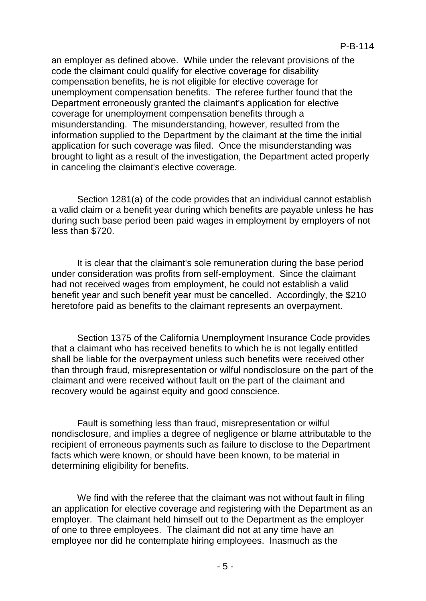an employer as defined above. While under the relevant provisions of the code the claimant could qualify for elective coverage for disability compensation benefits, he is not eligible for elective coverage for unemployment compensation benefits. The referee further found that the Department erroneously granted the claimant's application for elective coverage for unemployment compensation benefits through a misunderstanding. The misunderstanding, however, resulted from the information supplied to the Department by the claimant at the time the initial application for such coverage was filed. Once the misunderstanding was brought to light as a result of the investigation, the Department acted properly in canceling the claimant's elective coverage.

Section 1281(a) of the code provides that an individual cannot establish a valid claim or a benefit year during which benefits are payable unless he has during such base period been paid wages in employment by employers of not less than \$720.

It is clear that the claimant's sole remuneration during the base period under consideration was profits from self-employment. Since the claimant had not received wages from employment, he could not establish a valid benefit year and such benefit year must be cancelled. Accordingly, the \$210 heretofore paid as benefits to the claimant represents an overpayment.

Section 1375 of the California Unemployment Insurance Code provides that a claimant who has received benefits to which he is not legally entitled shall be liable for the overpayment unless such benefits were received other than through fraud, misrepresentation or wilful nondisclosure on the part of the claimant and were received without fault on the part of the claimant and recovery would be against equity and good conscience.

Fault is something less than fraud, misrepresentation or wilful nondisclosure, and implies a degree of negligence or blame attributable to the recipient of erroneous payments such as failure to disclose to the Department facts which were known, or should have been known, to be material in determining eligibility for benefits.

We find with the referee that the claimant was not without fault in filing an application for elective coverage and registering with the Department as an employer. The claimant held himself out to the Department as the employer of one to three employees. The claimant did not at any time have an employee nor did he contemplate hiring employees. Inasmuch as the